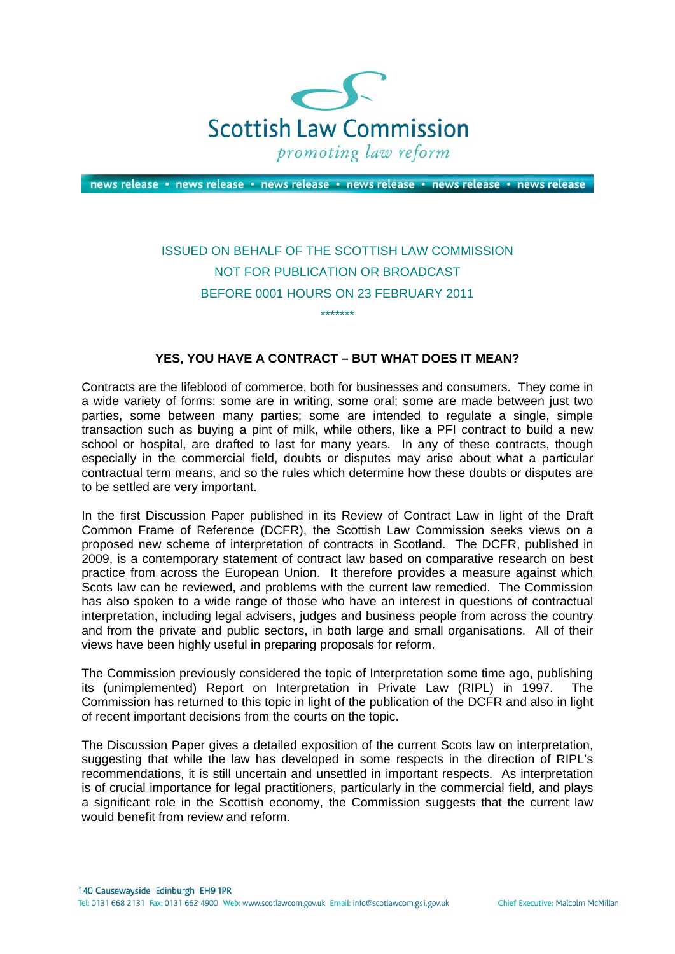

news release · news release · news release · news release · news release · news release

## ISSUED ON BEHALF OF THE SCOTTISH LAW COMMISSION NOT FOR PUBLICATION OR BROADCAST BEFORE 0001 HOURS ON 23 FEBRUARY 2011 \*\*\*\*\*\*\*

## **YES, YOU HAVE A CONTRACT – BUT WHAT DOES IT MEAN?**

Contracts are the lifeblood of commerce, both for businesses and consumers. They come in a wide variety of forms: some are in writing, some oral; some are made between just two parties, some between many parties; some are intended to regulate a single, simple transaction such as buying a pint of milk, while others, like a PFI contract to build a new school or hospital, are drafted to last for many years. In any of these contracts, though especially in the commercial field, doubts or disputes may arise about what a particular contractual term means, and so the rules which determine how these doubts or disputes are to be settled are very important.

In the first Discussion Paper published in its Review of Contract Law in light of the Draft Common Frame of Reference (DCFR), the Scottish Law Commission seeks views on a proposed new scheme of interpretation of contracts in Scotland. The DCFR, published in 2009, is a contemporary statement of contract law based on comparative research on best practice from across the European Union. It therefore provides a measure against which Scots law can be reviewed, and problems with the current law remedied. The Commission has also spoken to a wide range of those who have an interest in questions of contractual interpretation, including legal advisers, judges and business people from across the country and from the private and public sectors, in both large and small organisations. All of their views have been highly useful in preparing proposals for reform.

The Commission previously considered the topic of Interpretation some time ago, publishing its (unimplemented) Report on Interpretation in Private Law (RIPL) in 1997. The Commission has returned to this topic in light of the publication of the DCFR and also in light of recent important decisions from the courts on the topic.

The Discussion Paper gives a detailed exposition of the current Scots law on interpretation, suggesting that while the law has developed in some respects in the direction of RIPL's recommendations, it is still uncertain and unsettled in important respects. As interpretation is of crucial importance for legal practitioners, particularly in the commercial field, and plays a significant role in the Scottish economy, the Commission suggests that the current law would benefit from review and reform.